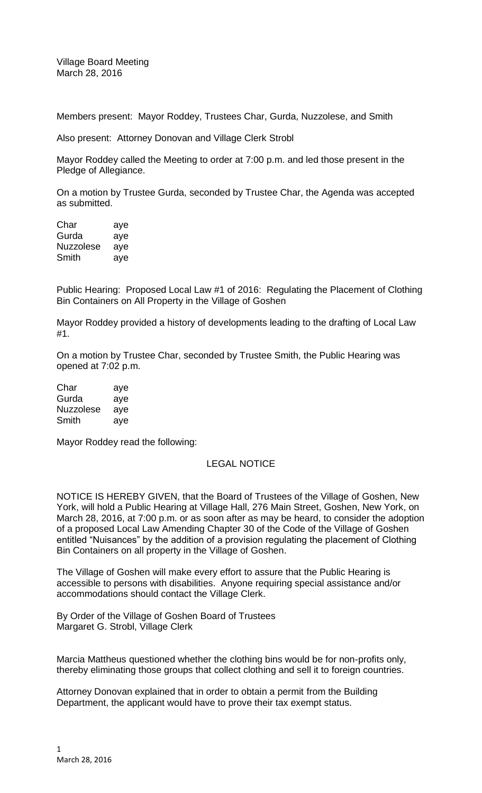Village Board Meeting March 28, 2016

Members present: Mayor Roddey, Trustees Char, Gurda, Nuzzolese, and Smith

Also present: Attorney Donovan and Village Clerk Strobl

Mayor Roddey called the Meeting to order at 7:00 p.m. and led those present in the Pledge of Allegiance.

On a motion by Trustee Gurda, seconded by Trustee Char, the Agenda was accepted as submitted.

Char aye Gurda aye Nuzzolese aye Smith aye

Public Hearing: Proposed Local Law #1 of 2016: Regulating the Placement of Clothing Bin Containers on All Property in the Village of Goshen

Mayor Roddey provided a history of developments leading to the drafting of Local Law #1.

On a motion by Trustee Char, seconded by Trustee Smith, the Public Hearing was opened at 7:02 p.m.

Char aye Gurda aye Nuzzolese aye Smith aye

Mayor Roddey read the following:

# LEGAL NOTICE

NOTICE IS HEREBY GIVEN, that the Board of Trustees of the Village of Goshen, New York, will hold a Public Hearing at Village Hall, 276 Main Street, Goshen, New York, on March 28, 2016, at 7:00 p.m. or as soon after as may be heard, to consider the adoption of a proposed Local Law Amending Chapter 30 of the Code of the Village of Goshen entitled "Nuisances" by the addition of a provision regulating the placement of Clothing Bin Containers on all property in the Village of Goshen.

The Village of Goshen will make every effort to assure that the Public Hearing is accessible to persons with disabilities. Anyone requiring special assistance and/or accommodations should contact the Village Clerk.

By Order of the Village of Goshen Board of Trustees Margaret G. Strobl, Village Clerk

Marcia Mattheus questioned whether the clothing bins would be for non-profits only, thereby eliminating those groups that collect clothing and sell it to foreign countries.

Attorney Donovan explained that in order to obtain a permit from the Building Department, the applicant would have to prove their tax exempt status.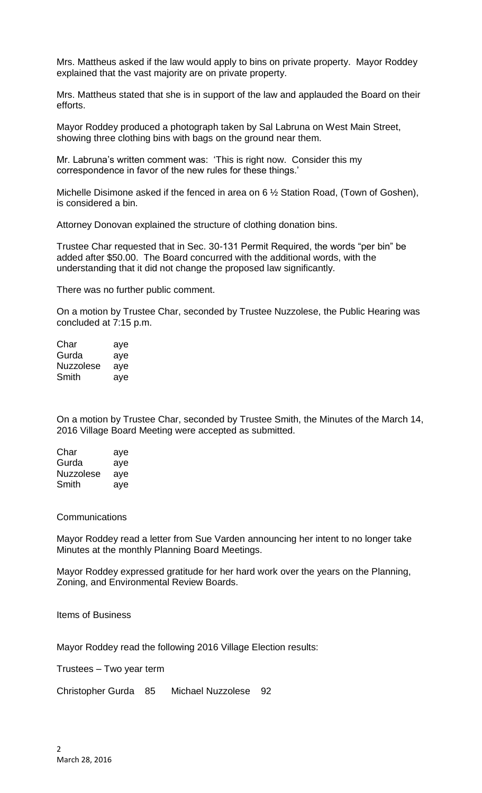Mrs. Mattheus asked if the law would apply to bins on private property. Mayor Roddey explained that the vast majority are on private property.

Mrs. Mattheus stated that she is in support of the law and applauded the Board on their efforts.

Mayor Roddey produced a photograph taken by Sal Labruna on West Main Street, showing three clothing bins with bags on the ground near them.

Mr. Labruna's written comment was: 'This is right now. Consider this my correspondence in favor of the new rules for these things.'

Michelle Disimone asked if the fenced in area on 6 ½ Station Road, (Town of Goshen), is considered a bin.

Attorney Donovan explained the structure of clothing donation bins.

Trustee Char requested that in Sec. 30-131 Permit Required, the words "per bin" be added after \$50.00. The Board concurred with the additional words, with the understanding that it did not change the proposed law significantly.

There was no further public comment.

On a motion by Trustee Char, seconded by Trustee Nuzzolese, the Public Hearing was concluded at 7:15 p.m.

| Char             | aye |
|------------------|-----|
| Gurda            | aye |
| <b>Nuzzolese</b> | aye |
| Smith            | aye |

On a motion by Trustee Char, seconded by Trustee Smith, the Minutes of the March 14, 2016 Village Board Meeting were accepted as submitted.

| Char             | aye |
|------------------|-----|
| Gurda            | aye |
| <b>Nuzzolese</b> | aye |
| Smith            | aye |

#### **Communications**

Mayor Roddey read a letter from Sue Varden announcing her intent to no longer take Minutes at the monthly Planning Board Meetings.

Mayor Roddey expressed gratitude for her hard work over the years on the Planning, Zoning, and Environmental Review Boards.

## Items of Business

Mayor Roddey read the following 2016 Village Election results:

Trustees – Two year term

Christopher Gurda 85 Michael Nuzzolese 92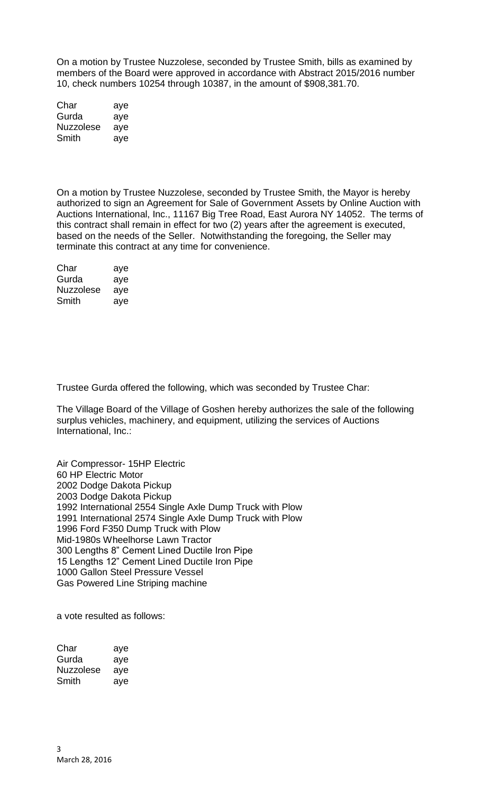On a motion by Trustee Nuzzolese, seconded by Trustee Smith, bills as examined by members of the Board were approved in accordance with Abstract 2015/2016 number 10, check numbers 10254 through 10387, in the amount of \$908,381.70.

| Char             | aye |
|------------------|-----|
| Gurda            | aye |
| <b>Nuzzolese</b> | aye |
| Smith            | aye |

On a motion by Trustee Nuzzolese, seconded by Trustee Smith, the Mayor is hereby authorized to sign an Agreement for Sale of Government Assets by Online Auction with Auctions International, Inc., 11167 Big Tree Road, East Aurora NY 14052. The terms of this contract shall remain in effect for two (2) years after the agreement is executed, based on the needs of the Seller. Notwithstanding the foregoing, the Seller may terminate this contract at any time for convenience.

| Char             | aye |
|------------------|-----|
| Gurda            | aye |
| <b>Nuzzolese</b> | aye |
| Smith            | ave |

Trustee Gurda offered the following, which was seconded by Trustee Char:

The Village Board of the Village of Goshen hereby authorizes the sale of the following surplus vehicles, machinery, and equipment, utilizing the services of Auctions International, Inc.:

Air Compressor- 15HP Electric 60 HP Electric Motor 2002 Dodge Dakota Pickup 2003 Dodge Dakota Pickup 1992 International 2554 Single Axle Dump Truck with Plow 1991 International 2574 Single Axle Dump Truck with Plow 1996 Ford F350 Dump Truck with Plow Mid-1980s Wheelhorse Lawn Tractor 300 Lengths 8" Cement Lined Ductile Iron Pipe 15 Lengths 12" Cement Lined Ductile Iron Pipe 1000 Gallon Steel Pressure Vessel Gas Powered Line Striping machine

a vote resulted as follows:

| Char      | aye |
|-----------|-----|
| Gurda     | aye |
| Nuzzolese | aye |
| Smith     | ave |